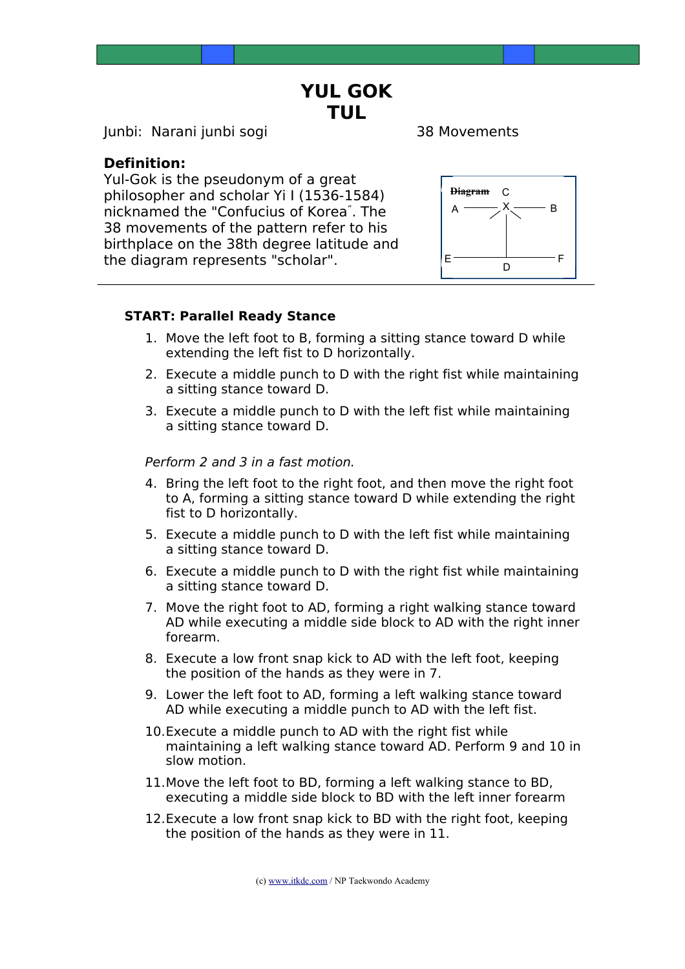**YUL GOK TUL**

Junbi: Narani junbi sogi 38 Movements

## **Definition:**

Yul-Gok is the pseudonym of a great philosopher and scholar Yi I (1536-1584) nicknamed the "Confucius of Korea" . The 38 movements of the pattern refer to his birthplace on the 38th degree latitude and the diagram represents "scholar".



### **START: Parallel Ready Stance**

- 1. Move the left foot to B, forming a sitting stance toward D while extending the left fist to D horizontally.
- 2. Execute a middle punch to D with the right fist while maintaining a sitting stance toward D.
- 3. Execute a middle punch to D with the left fist while maintaining a sitting stance toward D.

### Perform 2 and 3 in a fast motion.

- 4. Bring the left foot to the right foot, and then move the right foot to A, forming a sitting stance toward D while extending the right fist to D horizontally.
- 5. Execute a middle punch to D with the left fist while maintaining a sitting stance toward D.
- 6. Execute a middle punch to D with the right fist while maintaining a sitting stance toward D.
- 7. Move the right foot to AD, forming a right walking stance toward AD while executing a middle side block to AD with the right inner forearm.
- 8. Execute a low front snap kick to AD with the left foot, keeping the position of the hands as they were in 7.
- 9. Lower the left foot to AD, forming a left walking stance toward AD while executing a middle punch to AD with the left fist.
- 10.Execute a middle punch to AD with the right fist while maintaining a left walking stance toward AD. Perform 9 and 10 in slow motion.
- 11.Move the left foot to BD, forming a left walking stance to BD, executing a middle side block to BD with the left inner forearm
- 12.Execute a low front snap kick to BD with the right foot, keeping the position of the hands as they were in 11.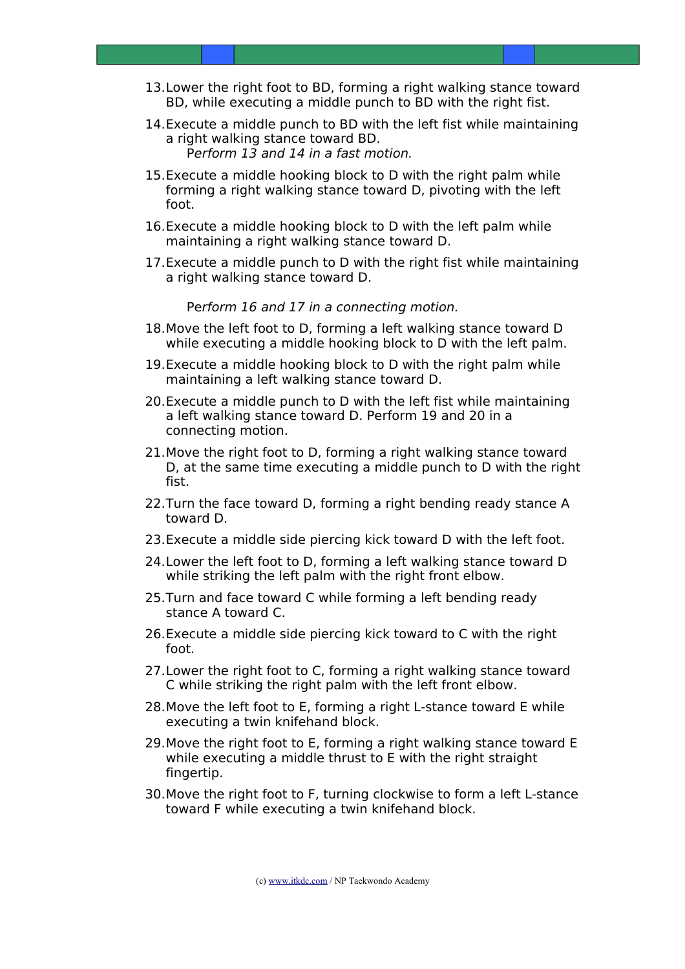- 13.Lower the right foot to BD, forming a right walking stance toward BD, while executing a middle punch to BD with the right fist.
- 14.Execute a middle punch to BD with the left fist while maintaining a right walking stance toward BD. Perform 13 and 14 in a fast motion.
- 15.Execute a middle hooking block to D with the right palm while forming a right walking stance toward D, pivoting with the left foot.
- 16.Execute a middle hooking block to D with the left palm while maintaining a right walking stance toward D.
- 17.Execute a middle punch to D with the right fist while maintaining a right walking stance toward D.

Perform 16 and 17 in a connecting motion.

- 18.Move the left foot to D, forming a left walking stance toward D while executing a middle hooking block to D with the left palm.
- 19.Execute a middle hooking block to D with the right palm while maintaining a left walking stance toward D.
- 20.Execute a middle punch to D with the left fist while maintaining a left walking stance toward D. Perform 19 and 20 in a connecting motion.
- 21.Move the right foot to D, forming a right walking stance toward D, at the same time executing a middle punch to D with the right fist.
- 22.Turn the face toward D, forming a right bending ready stance A toward D.
- 23.Execute a middle side piercing kick toward D with the left foot.
- 24.Lower the left foot to D, forming a left walking stance toward D while striking the left palm with the right front elbow.
- 25.Turn and face toward C while forming a left bending ready stance A toward C.
- 26.Execute a middle side piercing kick toward to C with the right foot.
- 27.Lower the right foot to C, forming a right walking stance toward C while striking the right palm with the left front elbow.
- 28.Move the left foot to E, forming a right L-stance toward E while executing a twin knifehand block.
- 29.Move the right foot to E, forming a right walking stance toward E while executing a middle thrust to E with the right straight fingertip.
- 30.Move the right foot to F, turning clockwise to form a left L-stance toward F while executing a twin knifehand block.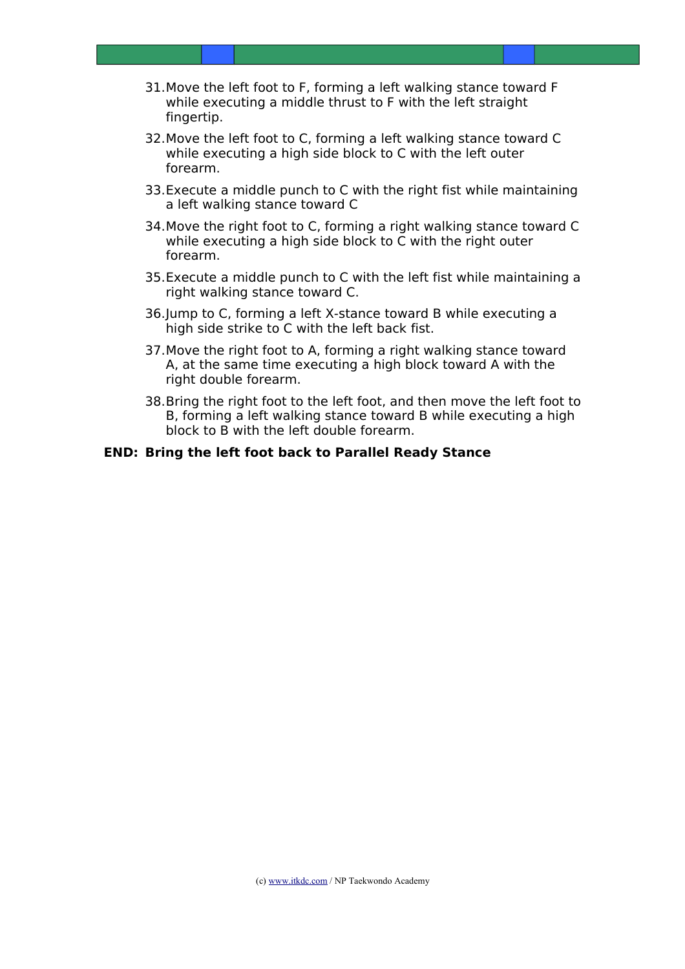- 31.Move the left foot to F, forming a left walking stance toward F while executing a middle thrust to F with the left straight fingertip.
- 32.Move the left foot to C, forming a left walking stance toward C while executing a high side block to C with the left outer forearm.
- 33.Execute a middle punch to C with the right fist while maintaining a left walking stance toward C
- 34.Move the right foot to C, forming a right walking stance toward C while executing a high side block to C with the right outer forearm.
- 35.Execute a middle punch to C with the left fist while maintaining a right walking stance toward C.
- 36.Jump to C, forming a left X-stance toward B while executing a high side strike to C with the left back fist.
- 37.Move the right foot to A, forming a right walking stance toward A, at the same time executing a high block toward A with the right double forearm.
- 38.Bring the right foot to the left foot, and then move the left foot to B, forming a left walking stance toward B while executing a high block to B with the left double forearm.

#### **END: Bring the left foot back to Parallel Ready Stance**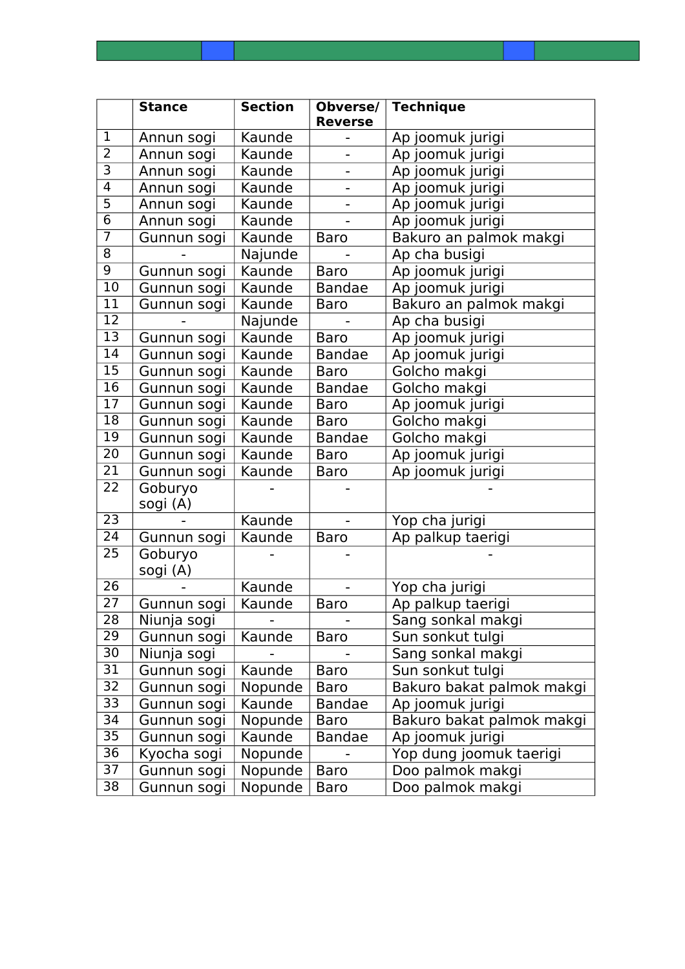|                 | <b>Stance</b> | <b>Section</b> | Obverse/<br><b>Reverse</b> | <b>Technique</b>          |  |
|-----------------|---------------|----------------|----------------------------|---------------------------|--|
| $\mathbf{1}$    | Annun sogi    | Kaunde         |                            | Ap joomuk jurigi          |  |
| $\overline{2}$  | Annun sogi    | Kaunde         |                            | Ap joomuk jurigi          |  |
| $\overline{3}$  | Annun sogi    | Kaunde         |                            | Ap joomuk jurigi          |  |
| $\overline{4}$  | Annun sogi    | Kaunde         |                            | Ap joomuk jurigi          |  |
| $\overline{5}$  | Annun sogi    | Kaunde         |                            | Ap joomuk jurigi          |  |
| 6               | Annun sogi    | Kaunde         |                            | Ap joomuk jurigi          |  |
| $\overline{7}$  | Gunnun sogi   | Kaunde         | <b>Baro</b>                | Bakuro an palmok makgi    |  |
| $\overline{8}$  |               | Najunde        |                            | Ap cha busigi             |  |
| 9               | Gunnun sogi   | Kaunde         | <b>Baro</b>                | Ap joomuk jurigi          |  |
| 10              | Gunnun sogi   | Kaunde         | <b>Bandae</b>              | Ap joomuk jurigi          |  |
| 11              | Gunnun sogi   | Kaunde         | <b>Baro</b>                | Bakuro an palmok makgi    |  |
| 12              |               | Najunde        |                            | Ap cha busigi             |  |
| $\overline{13}$ | Gunnun sogi   | Kaunde         | <b>Baro</b>                | Ap joomuk jurigi          |  |
| 14              | Gunnun sogi   | Kaunde         | <b>Bandae</b>              | Ap joomuk jurigi          |  |
| $\overline{15}$ | Gunnun sogi   | Kaunde         | <b>Baro</b>                | Golcho makgi              |  |
| $\overline{16}$ | Gunnun sogi   | Kaunde         | <b>Bandae</b>              | Golcho makgi              |  |
| 17              | Gunnun sogi   | Kaunde         | <b>Baro</b>                | Ap joomuk jurigi          |  |
| 18              | Gunnun sogi   | Kaunde         | <b>Baro</b>                | Golcho makgi              |  |
| 19              | Gunnun sogi   | Kaunde         | <b>Bandae</b>              | Golcho makgi              |  |
| $\overline{20}$ | Gunnun sogi   | Kaunde         | <b>Baro</b>                | Ap joomuk jurigi          |  |
| 21              | Gunnun sogi   | Kaunde         | Baro                       | Ap joomuk jurigi          |  |
| 22              | Goburyo       |                |                            |                           |  |
|                 | sogi (A)      |                |                            |                           |  |
| 23              |               | Kaunde         |                            | Yop cha jurigi            |  |
| 24              | Gunnun sogi   | Kaunde         | <b>Baro</b>                | Ap palkup taerigi         |  |
| 25              | Goburyo       |                |                            |                           |  |
|                 | sogi (A)      |                |                            |                           |  |
| $\overline{26}$ |               | Kaunde         |                            | Yop cha jurigi            |  |
| 27              | Gunnun sogi   | Kaunde         | <b>Baro</b>                | Ap palkup taerigi         |  |
| 28              | Niunja sogi   |                |                            | Sang sonkal makgi         |  |
| 29              | Gunnun sogi   | Kaunde         | <b>Baro</b>                | Sun sonkut tulgi          |  |
| 30              | Niunja sogi   |                |                            | Sang sonkal makgi         |  |
| 31              | Gunnun sogi   | Kaunde         | <b>Baro</b>                | Sun sonkut tulgi          |  |
| 32              | Gunnun sogi   | Nopunde        | Baro                       | Bakuro bakat palmok makgi |  |
| 33              | Gunnun sogi   | Kaunde         | <b>Bandae</b>              | Ap joomuk jurigi          |  |
| 34              | Gunnun sogi   | Nopunde        | <b>Baro</b>                | Bakuro bakat palmok makgi |  |
| 35              | Gunnun sogi   | Kaunde         | <b>Bandae</b>              | Ap joomuk jurigi          |  |
| 36              | Kyocha sogi   | Nopunde        |                            | Yop dung joomuk taerigi   |  |
| 37              | Gunnun sogi   | Nopunde        | <b>Baro</b>                | Doo palmok makgi          |  |
| 38              | Gunnun sogi   | Nopunde        | <b>Baro</b>                | Doo palmok makgi          |  |